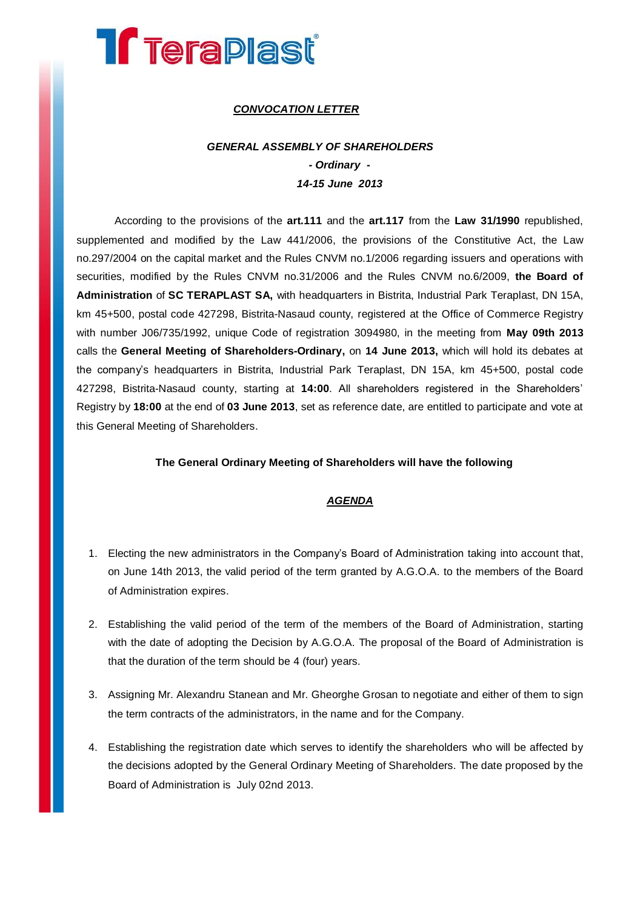# **Treraplast**

## *CONVOCATION LETTER*

# *GENERAL ASSEMBLY OF SHAREHOLDERS - Ordinary - 14-15 June 2013*

According to the provisions of the **art.111** and the **art.117** from the **Law 31/1990** republished, supplemented and modified by the Law 441/2006, the provisions of the Constitutive Act, the Law no.297/2004 on the capital market and the Rules CNVM no.1/2006 regarding issuers and operations with securities, modified by the Rules CNVM no.31/2006 and the Rules CNVM no.6/2009, **the Board of Administration** of **SC TERAPLAST SA,** with headquarters in Bistrita, Industrial Park Teraplast, DN 15A, km 45+500, postal code 427298, Bistrita-Nasaud county, registered at the Office of Commerce Registry with number J06/735/1992, unique Code of registration 3094980, in the meeting from **May 09th 2013** calls the **General Meeting of Shareholders-Ordinary,** on **14 June 2013,** which will hold its debates at the company's headquarters in Bistrita, Industrial Park Teraplast, DN 15A, km 45+500, postal code 427298, Bistrita-Nasaud county, starting at **14:00**. All shareholders registered in the Shareholders' Registry by **18:00** at the end of **03 June 2013**, set as reference date, are entitled to participate and vote at this General Meeting of Shareholders.

#### **The General Ordinary Meeting of Shareholders will have the following**

### *AGENDA*

- 1. Electing the new administrators in the Company's Board of Administration taking into account that, on June 14th 2013, the valid period of the term granted by A.G.O.A. to the members of the Board of Administration expires.
- 2. Establishing the valid period of the term of the members of the Board of Administration, starting with the date of adopting the Decision by A.G.O.A. The proposal of the Board of Administration is that the duration of the term should be 4 (four) years.
- 3. Assigning Mr. Alexandru Stanean and Mr. Gheorghe Grosan to negotiate and either of them to sign the term contracts of the administrators, in the name and for the Company.
- 4. Establishing the registration date which serves to identify the shareholders who will be affected by the decisions adopted by the General Ordinary Meeting of Shareholders. The date proposed by the Board of Administration is July 02nd 2013.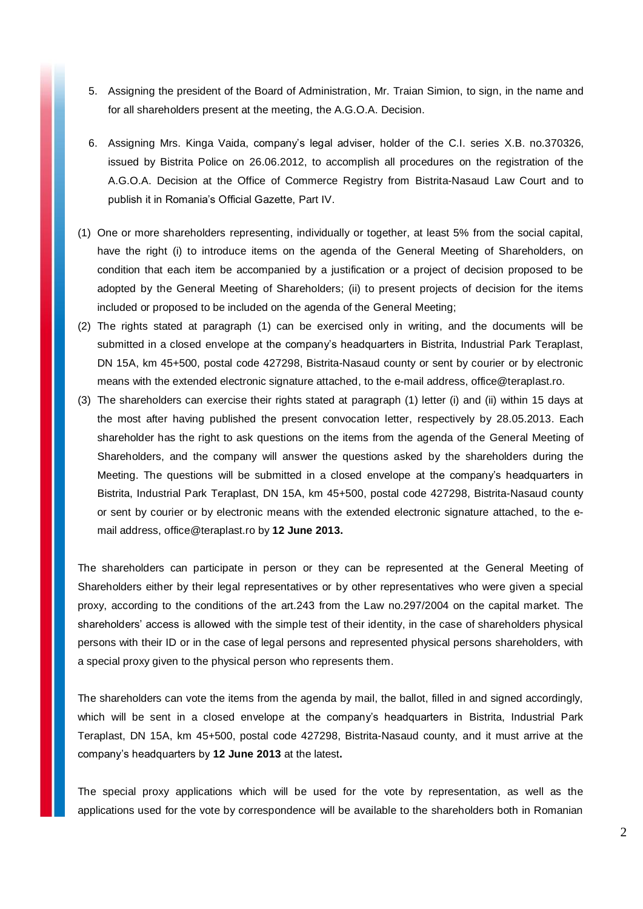- 5. Assigning the president of the Board of Administration, Mr. Traian Simion, to sign, in the name and for all shareholders present at the meeting, the A.G.O.A. Decision.
- 6. Assigning Mrs. Kinga Vaida, company's legal adviser, holder of the C.I. series X.B. no.370326, issued by Bistrita Police on 26.06.2012, to accomplish all procedures on the registration of the A.G.O.A. Decision at the Office of Commerce Registry from Bistrita-Nasaud Law Court and to publish it in Romania's Official Gazette, Part IV.
- (1) One or more shareholders representing, individually or together, at least 5% from the social capital, have the right (i) to introduce items on the agenda of the General Meeting of Shareholders, on condition that each item be accompanied by a justification or a project of decision proposed to be adopted by the General Meeting of Shareholders; (ii) to present projects of decision for the items included or proposed to be included on the agenda of the General Meeting;
- (2) The rights stated at paragraph (1) can be exercised only in writing, and the documents will be submitted in a closed envelope at the company's headquarters in Bistrita, Industrial Park Teraplast, DN 15A, km 45+500, postal code 427298, Bistrita-Nasaud county or sent by courier or by electronic means with the extended electronic signature attached, to the e-mail address, [office@teraplast.ro.](mailto:office@teraplast.ro)
- (3) The shareholders can exercise their rights stated at paragraph (1) letter (i) and (ii) within 15 days at the most after having published the present convocation letter, respectively by 28.05.2013. Each shareholder has the right to ask questions on the items from the agenda of the General Meeting of Shareholders, and the company will answer the questions asked by the shareholders during the Meeting. The questions will be submitted in a closed envelope at the company's headquarters in Bistrita, Industrial Park Teraplast, DN 15A, km 45+500, postal code 427298, Bistrita-Nasaud county or sent by courier or by electronic means with the extended electronic signature attached, to the email address, [office@teraplast.ro](mailto:office@teraplast.ro) by **12 June 2013.**

The shareholders can participate in person or they can be represented at the General Meeting of Shareholders either by their legal representatives or by other representatives who were given a special proxy, according to the conditions of the art.243 from the Law no.297/2004 on the capital market. The shareholders' access is allowed with the simple test of their identity, in the case of shareholders physical persons with their ID or in the case of legal persons and represented physical persons shareholders, with a special proxy given to the physical person who represents them.

The shareholders can vote the items from the agenda by mail, the ballot, filled in and signed accordingly, which will be sent in a closed envelope at the company's headquarters in Bistrita, Industrial Park Teraplast, DN 15A, km 45+500, postal code 427298, Bistrita-Nasaud county, and it must arrive at the company's headquarters by **12 June 2013** at the latest**.**

The special proxy applications which will be used for the vote by representation, as well as the applications used for the vote by correspondence will be available to the shareholders both in Romanian